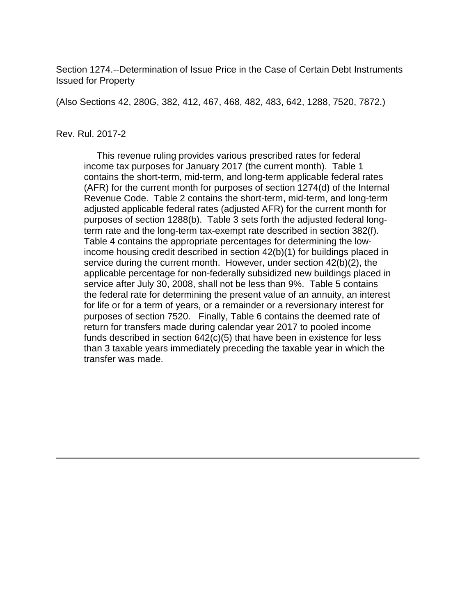Section 1274.--Determination of Issue Price in the Case of Certain Debt Instruments Issued for Property

(Also Sections 42, 280G, 382, 412, 467, 468, 482, 483, 642, 1288, 7520, 7872.)

#### Rev. Rul. 2017-2

 This revenue ruling provides various prescribed rates for federal income tax purposes for January 2017 (the current month). Table 1 contains the short-term, mid-term, and long-term applicable federal rates (AFR) for the current month for purposes of section 1274(d) of the Internal Revenue Code. Table 2 contains the short-term, mid-term, and long-term adjusted applicable federal rates (adjusted AFR) for the current month for purposes of section 1288(b). Table 3 sets forth the adjusted federal longterm rate and the long-term tax-exempt rate described in section 382(f). Table 4 contains the appropriate percentages for determining the lowincome housing credit described in section 42(b)(1) for buildings placed in service during the current month. However, under section 42(b)(2), the applicable percentage for non-federally subsidized new buildings placed in service after July 30, 2008, shall not be less than 9%. Table 5 contains the federal rate for determining the present value of an annuity, an interest for life or for a term of years, or a remainder or a reversionary interest for purposes of section 7520. Finally, Table 6 contains the deemed rate of return for transfers made during calendar year 2017 to pooled income funds described in section 642(c)(5) that have been in existence for less than 3 taxable years immediately preceding the taxable year in which the transfer was made.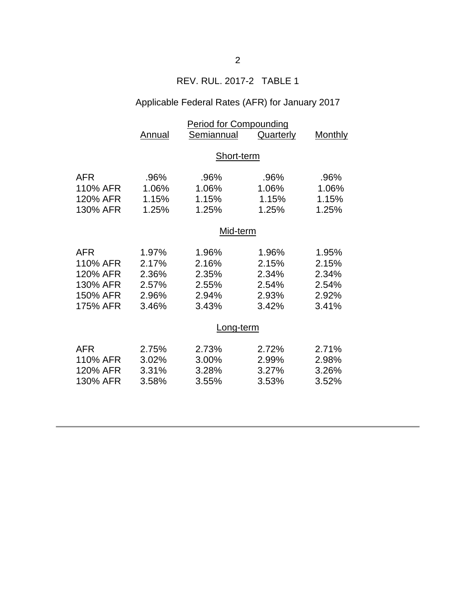# REV. RUL. 2017-2 TABLE 1

# Applicable Federal Rates (AFR) for January 2017

|            | <b>Period for Compounding</b> |            |           |         |  |
|------------|-------------------------------|------------|-----------|---------|--|
|            | Annual                        | Semiannual | Quarterly | Monthly |  |
|            |                               |            |           |         |  |
|            | Short-term                    |            |           |         |  |
|            |                               |            |           |         |  |
| <b>AFR</b> | .96%                          | .96%       | .96%      | .96%    |  |
| 110% AFR   | 1.06%                         | 1.06%      | 1.06%     | 1.06%   |  |
| 120% AFR   | 1.15%                         | 1.15%      | 1.15%     | 1.15%   |  |
| 130% AFR   | 1.25%                         | 1.25%      | 1.25%     | 1.25%   |  |
|            | Mid-term                      |            |           |         |  |
|            |                               |            |           |         |  |
| <b>AFR</b> | 1.97%                         | 1.96%      | 1.96%     | 1.95%   |  |
| 110% AFR   | 2.17%                         | 2.16%      | 2.15%     | 2.15%   |  |
| 120% AFR   | 2.36%                         | 2.35%      | 2.34%     | 2.34%   |  |
| 130% AFR   | 2.57%                         | 2.55%      | 2.54%     | 2.54%   |  |
| 150% AFR   | 2.96%                         | 2.94%      | 2.93%     | 2.92%   |  |
| 175% AFR   | 3.46%                         | 3.43%      | 3.42%     | 3.41%   |  |
|            |                               |            |           |         |  |
|            | Long-term                     |            |           |         |  |
| <b>AFR</b> | 2.75%                         | 2.73%      | 2.72%     | 2.71%   |  |
| 110% AFR   | 3.02%                         | 3.00%      | 2.99%     | 2.98%   |  |
| 120% AFR   | 3.31%                         | 3.28%      | 3.27%     | 3.26%   |  |
|            |                               |            |           |         |  |
| 130% AFR   | 3.58%                         | 3.55%      | 3.53%     | 3.52%   |  |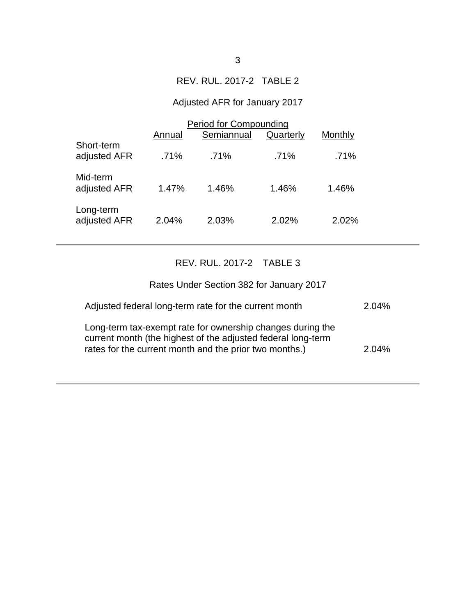## REV. RUL. 2017-2 TABLE 2

# Adjusted AFR for January 2017

|                            | <b>Period for Compounding</b> |            |           |         |  |
|----------------------------|-------------------------------|------------|-----------|---------|--|
|                            | Annual                        | Semiannual | Quarterly | Monthly |  |
| Short-term<br>adjusted AFR | .71%                          | .71%       | .71%      | .71%    |  |
| Mid-term<br>adjusted AFR   | 1.47%                         | 1.46%      | 1.46%     | 1.46%   |  |
| Long-term<br>adjusted AFR  | 2.04%                         | 2.03%      | 2.02%     | 2.02%   |  |

# REV. RUL. 2017-2 TABLE 3

| Rates Under Section 382 for January 2017                                                                                                                                             |       |
|--------------------------------------------------------------------------------------------------------------------------------------------------------------------------------------|-------|
| Adjusted federal long-term rate for the current month                                                                                                                                | 2.04% |
| Long-term tax-exempt rate for ownership changes during the<br>current month (the highest of the adjusted federal long-term<br>rates for the current month and the prior two months.) | 2.04% |